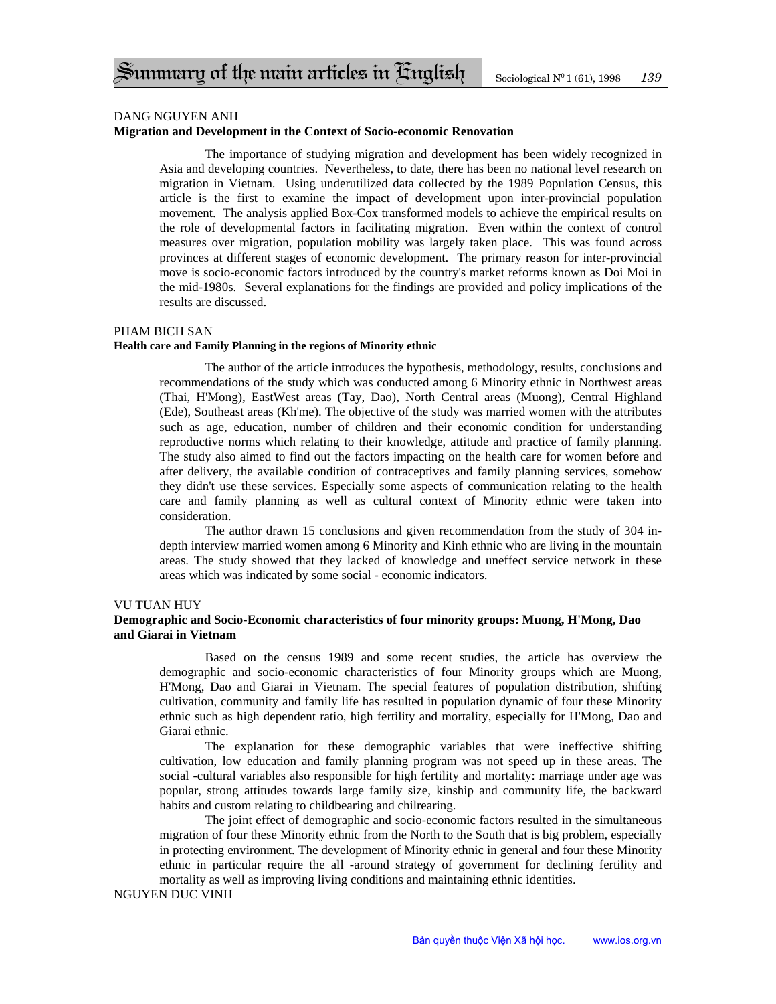### DANG NGUYEN ANH

### **Migration and Development in the Context of Socio-economic Renovation**

The importance of studying migration and development has been widely recognized in Asia and developing countries. Nevertheless, to date, there has been no national level research on migration in Vietnam. Using underutilized data collected by the 1989 Population Census, this article is the first to examine the impact of development upon inter-provincial population movement. The analysis applied Box-Cox transformed models to achieve the empirical results on the role of developmental factors in facilitating migration. Even within the context of control measures over migration, population mobility was largely taken place. This was found across provinces at different stages of economic development. The primary reason for inter-provincial move is socio-economic factors introduced by the country's market reforms known as Doi Moi in the mid-1980s. Several explanations for the findings are provided and policy implications of the results are discussed.

#### PHAM BICH SAN

#### **Health care and Family Planning in the regions of Minority ethnic**

The author of the article introduces the hypothesis, methodology, results, conclusions and recommendations of the study which was conducted among 6 Minority ethnic in Northwest areas (Thai, H'Mong), EastWest areas (Tay, Dao), North Central areas (Muong), Central Highland (Ede), Southeast areas (Kh'me). The objective of the study was married women with the attributes such as age, education, number of children and their economic condition for understanding reproductive norms which relating to their knowledge, attitude and practice of family planning. The study also aimed to find out the factors impacting on the health care for women before and after delivery, the available condition of contraceptives and family planning services, somehow they didn't use these services. Especially some aspects of communication relating to the health care and family planning as well as cultural context of Minority ethnic were taken into consideration.

The author drawn 15 conclusions and given recommendation from the study of 304 indepth interview married women among 6 Minority and Kinh ethnic who are living in the mountain areas. The study showed that they lacked of knowledge and uneffect service network in these areas which was indicated by some social - economic indicators.

#### VU TUAN HUY

# **Demographic and Socio-Economic characteristics of four minority groups: Muong, H'Mong, Dao and Giarai in Vietnam**

Based on the census 1989 and some recent studies, the article has overview the demographic and socio-economic characteristics of four Minority groups which are Muong, H'Mong, Dao and Giarai in Vietnam. The special features of population distribution, shifting cultivation, community and family life has resulted in population dynamic of four these Minority ethnic such as high dependent ratio, high fertility and mortality, especially for H'Mong, Dao and Giarai ethnic.

The explanation for these demographic variables that were ineffective shifting cultivation, low education and family planning program was not speed up in these areas. The social -cultural variables also responsible for high fertility and mortality: marriage under age was popular, strong attitudes towards large family size, kinship and community life, the backward habits and custom relating to childbearing and chilrearing.

The joint effect of demographic and socio-economic factors resulted in the simultaneous migration of four these Minority ethnic from the North to the South that is big problem, especially in protecting environment. The development of Minority ethnic in general and four these Minority ethnic in particular require the all -around strategy of government for declining fertility and mortality as well as improving living conditions and maintaining ethnic identities.

### NGUYEN DUC VINH